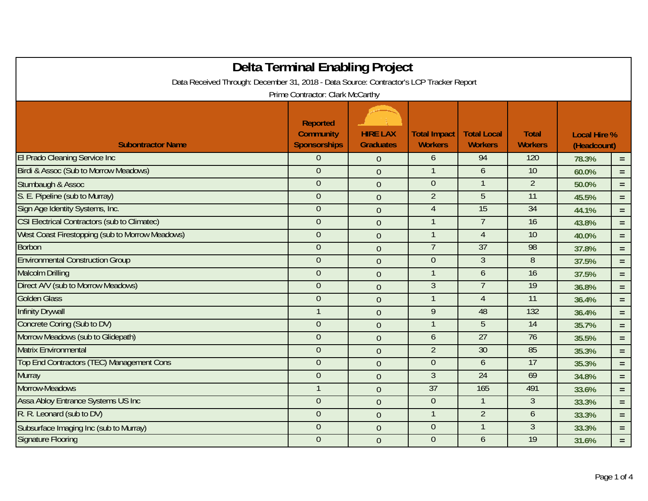|                                                                                                                             | Delta Terminal Enabling Project                            |                                     |                                       |                                      |                                |                                    |          |  |
|-----------------------------------------------------------------------------------------------------------------------------|------------------------------------------------------------|-------------------------------------|---------------------------------------|--------------------------------------|--------------------------------|------------------------------------|----------|--|
| Data Received Through: December 31, 2018 - Data Source: Contractor's LCP Tracker Report<br>Prime Contractor: Clark McCarthy |                                                            |                                     |                                       |                                      |                                |                                    |          |  |
| <b>Subontractor Name</b>                                                                                                    | <b>Reported</b><br><b>Community</b><br><b>Sponsorships</b> | <b>HIRE LAX</b><br><b>Graduates</b> | <b>Total Impact</b><br><b>Workers</b> | <b>Total Local</b><br><b>Workers</b> | <b>Total</b><br><b>Workers</b> | <b>Local Hire %</b><br>(Headcount) |          |  |
| El Prado Cleaning Service Inc                                                                                               | $\theta$                                                   | $\overline{0}$                      | 6                                     | 94                                   | 120                            | 78.3%                              | $=$      |  |
| <b>Birdi &amp; Assoc (Sub to Morrow Meadows)</b>                                                                            | $\overline{0}$                                             | $\overline{0}$                      | $\overline{1}$                        | 6                                    | $\overline{10}$                | 60.0%                              | $=$      |  |
| Stumbaugh & Assoc                                                                                                           | $\theta$                                                   | $\overline{0}$                      | $\theta$                              |                                      | $\overline{2}$                 | 50.0%                              | $\equiv$ |  |
| S. E. Pipeline (sub to Murray)                                                                                              | $\overline{0}$                                             | $\overline{0}$                      | $\overline{2}$                        | $\overline{5}$                       | 11                             | 45.5%                              | $=$      |  |
| Sign Age Identity Systems, Inc.                                                                                             | $\theta$                                                   | $\overline{0}$                      | $\overline{4}$                        | 15                                   | 34                             | 44.1%                              | $=$      |  |
| <b>CSI Electrical Contractors (sub to Climatec)</b>                                                                         | $\theta$                                                   | $\overline{0}$                      | $\mathbf 1$                           | $\overline{7}$                       | 16                             | 43.8%                              | $=$      |  |
| West Coast Firestopping (sub to Morrow Meadows)                                                                             | $\boldsymbol{0}$                                           | $\overline{0}$                      |                                       | $\overline{4}$                       | 10                             | 40.0%                              | $=$      |  |
| <b>Borbon</b>                                                                                                               | $\boldsymbol{0}$                                           | $\overline{0}$                      | $\overline{7}$                        | $\overline{37}$                      | 98                             | 37.8%                              | $\equiv$ |  |
| <b>Environmental Construction Group</b>                                                                                     | $\theta$                                                   | $\overline{0}$                      | $\overline{0}$                        | $\mathfrak{Z}$                       | 8                              | 37.5%                              | $=$      |  |
| <b>Malcolm Drilling</b>                                                                                                     | $\theta$                                                   | $\overline{0}$                      | -1                                    | $\mathfrak b$                        | 16                             | 37.5%                              | $=$      |  |
| Direct A/V (sub to Morrow Meadows)                                                                                          | $\overline{0}$                                             | $\overline{0}$                      | $\overline{3}$                        | $\overline{7}$                       | 19                             | 36.8%                              | $=$      |  |
| <b>Golden Glass</b>                                                                                                         | $\theta$                                                   | $\overline{0}$                      |                                       | $\overline{4}$                       | $\overline{11}$                | 36.4%                              | $=$      |  |
| <b>Infinity Drywall</b>                                                                                                     | $\mathbf{1}$                                               | $\overline{0}$                      | 9                                     | 48                                   | 132                            | 36.4%                              | $=$      |  |
| Concrete Coring (Sub to DV)                                                                                                 | $\mathbf{0}$                                               | $\overline{0}$                      |                                       | 5                                    | $\overline{14}$                | 35.7%                              | $=$      |  |
| Morrow Meadows (sub to Glidepath)                                                                                           | $\overline{0}$                                             | $\overline{0}$                      | 6                                     | $\overline{27}$                      | 76                             | 35.5%                              | $=$      |  |
| <b>Matrix Environmental</b>                                                                                                 | $\theta$                                                   | $\mathbf 0$                         | $\overline{2}$                        | 30                                   | 85                             | 35.3%                              | $=$      |  |
| Top End Contractors (TEC) Management Cons                                                                                   | $\boldsymbol{0}$                                           | $\overline{0}$                      | $\theta$                              | 6                                    | 17                             | 35.3%                              | $=$      |  |
| <b>Murray</b>                                                                                                               | $\theta$                                                   | $\overline{0}$                      | $\overline{3}$                        | 24                                   | 69                             | 34.8%                              | $=$      |  |
| Morrow-Meadows                                                                                                              |                                                            | $\overline{0}$                      | $\overline{37}$                       | 165                                  | 491                            | 33.6%                              | $=$      |  |
| Assa Abloy Entrance Systems US Inc                                                                                          | $\theta$                                                   | $\overline{0}$                      | $\overline{0}$                        | $\mathbf 1$                          | 3                              | 33.3%                              | $=$      |  |
| R. R. Leonard (sub to DV)                                                                                                   | $\boldsymbol{0}$                                           | $\overline{0}$                      |                                       | $\overline{2}$                       | 6                              | 33.3%                              | $=$      |  |
| Subsurface Imaging Inc (sub to Murray)                                                                                      | $\overline{0}$                                             | $\overline{0}$                      | $\overline{0}$                        | $\overline{1}$                       | $\overline{3}$                 | 33.3%                              | $=$      |  |
| <b>Signature Flooring</b>                                                                                                   | $\theta$                                                   | $\overline{0}$                      | $\theta$                              | 6                                    | 19                             | 31.6%                              | $=$      |  |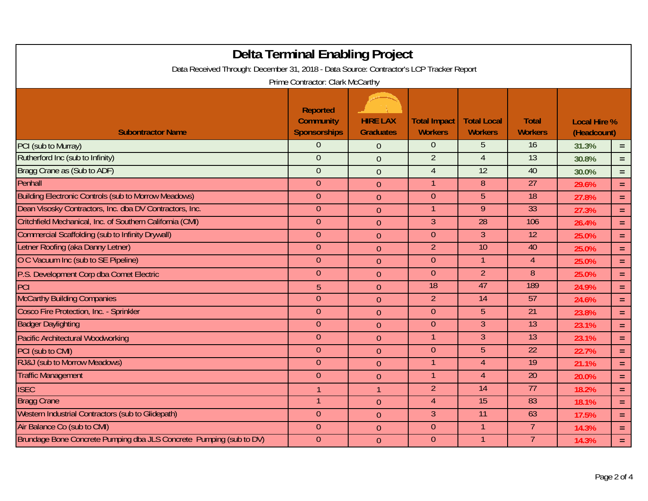| Data Received Through: December 31, 2018 - Data Source: Contractor's LCP Tracker Report | <b>Delta Terminal Enabling Project</b>                     |                                     |                                       |                                      |                                |                                    |          |  |
|-----------------------------------------------------------------------------------------|------------------------------------------------------------|-------------------------------------|---------------------------------------|--------------------------------------|--------------------------------|------------------------------------|----------|--|
| Prime Contractor: Clark McCarthy                                                        |                                                            |                                     |                                       |                                      |                                |                                    |          |  |
| <b>Subontractor Name</b>                                                                | <b>Reported</b><br><b>Community</b><br><b>Sponsorships</b> | <b>HIRE LAX</b><br><b>Graduates</b> | <b>Total Impact</b><br><b>Workers</b> | <b>Total Local</b><br><b>Workers</b> | <b>Total</b><br><b>Workers</b> | <b>Local Hire %</b><br>(Headcount) |          |  |
| PCI (sub to Murray)                                                                     | $\overline{0}$                                             | $\overline{0}$                      | $\overline{0}$                        | 5                                    | 16                             | 31.3%                              | $=$ .    |  |
| Rutherford Inc (sub to Infinity)                                                        | $\overline{0}$                                             | $\overline{0}$                      | $\overline{2}$                        | $\overline{4}$                       | $\overline{13}$                | 30.8%                              | $=$      |  |
| Bragg Crane as (Sub to ADF)                                                             | $\overline{0}$                                             | $\overline{0}$                      | $\overline{4}$                        | $\overline{12}$                      | 40                             | 30.0%                              | $=$      |  |
| Penhall                                                                                 | $\theta$                                                   | $\mathbf{0}$                        |                                       | 8                                    | $\overline{27}$                | 29.6%                              | $\equiv$ |  |
| <b>Building Electronic Controls (sub to Morrow Meadows)</b>                             | $\overline{0}$                                             | $\overline{0}$                      | $\theta$                              | $5\phantom{.}$                       | 18                             | 27.8%                              | $=$      |  |
| Dean Visosky Contractors, Inc. dba DV Contractors, Inc.                                 | $\theta$                                                   | $\overline{0}$                      | 1                                     | $\overline{9}$                       | 33                             | 27.3%                              | $\equiv$ |  |
| Critchfield Mechanical, Inc. of Southern California (CMI)                               | $\theta$                                                   | $\overline{0}$                      | $\overline{3}$                        | 28                                   | 106                            | 26.4%                              | $=$      |  |
| <b>Commercial Scaffolding (sub to Infinity Drywall)</b>                                 | $\overline{0}$                                             | $\overline{0}$                      | $\theta$                              | $\mathbf{3}$                         | $\overline{12}$                | 25.0%                              | $=$      |  |
| Letner Roofing (aka Danny Letner)                                                       | $\theta$                                                   | $\overline{0}$                      | $\overline{2}$                        | $\overline{10}$                      | 40                             | 25.0%                              | $=$      |  |
| O C Vacuum Inc (sub to SE Pipeline)                                                     | $\theta$                                                   | $\overline{0}$                      | $\theta$                              | $\mathbf{1}$                         | $\overline{4}$                 | 25.0%                              | $\equiv$ |  |
| P.S. Development Corp dba Comet Electric                                                | $\theta$                                                   | $\overline{0}$                      | $\theta$                              | $\overline{2}$                       | 8                              | 25.0%                              | $=$      |  |
| PCI                                                                                     | 5                                                          | $\overline{0}$                      | $\overline{18}$                       | 47                                   | 189                            | 24.9%                              | $=$      |  |
| <b>McCarthy Building Companies</b>                                                      | $\overline{0}$                                             | $\overline{0}$                      | $\overline{2}$                        | $\overline{14}$                      | $\overline{57}$                | 24.6%                              | $=$      |  |
| Cosco Fire Protection, Inc. - Sprinkler                                                 | $\overline{0}$                                             | $\overline{0}$                      | $\theta$                              | 5 <sup>5</sup>                       | $\overline{21}$                | 23.8%                              | $=$      |  |
| <b>Badger Daylighting</b>                                                               | $\overline{0}$                                             | $\overline{0}$                      | $\theta$                              | $\overline{3}$                       | 13                             | 23.1%                              | $=$      |  |
| <b>Pacific Architectural Woodworking</b>                                                | $\theta$                                                   | $\overline{0}$                      | 1                                     | $\overline{3}$                       | 13                             | 23.1%                              | $\equiv$ |  |
| PCI (sub to CMI)                                                                        | $\overline{0}$                                             | $\overline{0}$                      | $\overline{0}$                        | $\overline{5}$                       | 22                             | 22.7%                              | $\equiv$ |  |
| RJ&J (sub to Morrow Meadows)                                                            | $\theta$                                                   | $\overline{0}$                      |                                       | $\overline{4}$                       | $\overline{19}$                | 21.1%                              | $=$      |  |
| <b>Traffic Management</b>                                                               | $\theta$                                                   | $\overline{0}$                      |                                       | $\overline{4}$                       | $\overline{20}$                | 20.0%                              | $=$      |  |
| <b>ISEC</b>                                                                             | $\mathbf{1}$                                               | $\mathbf{1}$                        | $\overline{2}$                        | $\overline{14}$                      | 77                             | 18.2%                              | $=$      |  |
| <b>Bragg Crane</b>                                                                      |                                                            | $\overline{0}$                      | $\overline{4}$                        | 15                                   | 83                             | 18.1%                              | $\equiv$ |  |
| Western Industrial Contractors (sub to Glidepath)                                       | $\overline{0}$                                             | $\overline{0}$                      | $\mathfrak{Z}$                        | $\overline{11}$                      | 63                             | 17.5%                              | $=$      |  |
| Air Balance Co (sub to CMI)                                                             | $\theta$                                                   | $\overline{0}$                      | $\overline{0}$                        | $\mathbf 1$                          | 7                              | 14.3%                              | $=$      |  |
| Brundage Bone Concrete Pumping dba JLS Concrete Pumping (sub to DV)                     | $\overline{0}$                                             | $\theta$                            | $\theta$                              | $\overline{1}$                       | $\overline{7}$                 | 14.3%                              | $\equiv$ |  |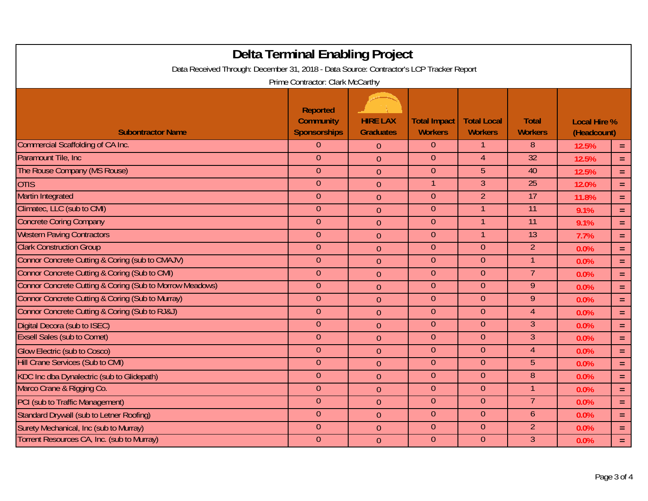| Delta Terminal Enabling Project<br>Data Received Through: December 31, 2018 - Data Source: Contractor's LCP Tracker Report<br>Prime Contractor: Clark McCarthy |                                                            |                                     |                                       |                                      |                                |                                    |          |
|----------------------------------------------------------------------------------------------------------------------------------------------------------------|------------------------------------------------------------|-------------------------------------|---------------------------------------|--------------------------------------|--------------------------------|------------------------------------|----------|
| <b>Subontractor Name</b>                                                                                                                                       | <b>Reported</b><br><b>Community</b><br><b>Sponsorships</b> | <b>HIRE LAX</b><br><b>Graduates</b> | <b>Total Impact</b><br><b>Workers</b> | <b>Total Local</b><br><b>Workers</b> | <b>Total</b><br><b>Workers</b> | <b>Local Hire %</b><br>(Headcount) |          |
| Commercial Scaffolding of CA Inc.                                                                                                                              | $\overline{0}$                                             | $\overline{0}$                      | $\overline{0}$                        | 1                                    | 8 <sup>°</sup>                 | 12.5%                              | $=$      |
| Paramount Tile, Inc.                                                                                                                                           | $\overline{0}$                                             | $\overline{0}$                      | $\overline{0}$                        | $\overline{4}$                       | $\overline{32}$                | 12.5%                              | $=$      |
| The Rouse Company (MS Rouse)                                                                                                                                   | $\theta$                                                   | $\overline{0}$                      | $\overline{0}$                        | $\overline{5}$                       | 40                             | 12.5%                              | $\equiv$ |
| <b>OTIS</b>                                                                                                                                                    | $\theta$                                                   | $\overline{0}$                      | $\mathbf 1$                           | $\overline{3}$                       | 25                             | 12.0%                              | $\equiv$ |
| <b>Martin Integrated</b>                                                                                                                                       | $\theta$                                                   | $\overline{0}$                      | $\theta$                              | $\overline{2}$                       | 17                             | 11.8%                              | $\equiv$ |
| Climatec, LLC (sub to CMI)                                                                                                                                     | $\overline{0}$                                             | $\overline{0}$                      | $\overline{0}$                        | 1                                    | $\overline{11}$                | 9.1%                               | $\equiv$ |
| <b>Concrete Coring Company</b>                                                                                                                                 | $\overline{0}$                                             | $\overline{0}$                      | $\theta$                              | $\mathbf 1$                          | $\overline{11}$                | 9.1%                               | $\equiv$ |
| <b>Western Paving Contractors</b>                                                                                                                              | $\overline{0}$                                             | $\overline{0}$                      | $\overline{0}$                        | -1                                   | $\overline{13}$                | 7.7%                               | $\equiv$ |
| <b>Clark Construction Group</b>                                                                                                                                | $\theta$                                                   | $\overline{0}$                      | $\theta$                              | $\theta$                             | $\overline{2}$                 | 0.0%                               | $=$      |
| Connor Concrete Cutting & Coring (sub to CMAJV)                                                                                                                | $\theta$                                                   | $\overline{0}$                      | $\theta$                              | $\theta$                             | $\mathbf{1}$                   | 0.0%                               | $\equiv$ |
| Connor Concrete Cutting & Coring (Sub to CMI)                                                                                                                  | $\theta$                                                   | $\overline{0}$                      | $\overline{0}$                        | $\theta$                             | $\overline{7}$                 | 0.0%                               | Ξ        |
| Connor Concrete Cutting & Coring (Sub to Morrow Meadows)                                                                                                       | $\theta$                                                   | $\overline{0}$                      | $\overline{0}$                        | $\overline{0}$                       | $\overline{9}$                 | 0.0%                               | $=$      |
| Connor Concrete Cutting & Coring (Sub to Murray)                                                                                                               | $\overline{0}$                                             | $\overline{0}$                      | $\theta$                              | $\overline{0}$                       | 9                              | 0.0%                               | $\equiv$ |
| Connor Concrete Cutting & Coring (Sub to RJ&J)                                                                                                                 | $\overline{0}$                                             | $\overline{0}$                      | $\overline{0}$                        | $\overline{0}$                       | $\overline{4}$                 | 0.0%                               | $\equiv$ |
| Digital Decora (sub to ISEC)                                                                                                                                   | $\theta$                                                   | $\overline{0}$                      | $\theta$                              | $\theta$                             | $\overline{3}$                 | 0.0%                               | $\equiv$ |
| <b>Exsell Sales (sub to Comet)</b>                                                                                                                             | $\theta$                                                   | $\overline{0}$                      | $\theta$                              | $\theta$                             | $\mathfrak{Z}$                 | 0.0%                               | $\equiv$ |
| <b>Glow Electric (sub to Cosco)</b>                                                                                                                            | $\overline{0}$                                             | $\overline{0}$                      | $\overline{0}$                        | $\theta$                             | $\overline{4}$                 | 0.0%                               | $\equiv$ |
| <b>Hill Crane Services (Sub to CMI)</b>                                                                                                                        | $\overline{0}$                                             | $\overline{0}$                      | $\overline{0}$                        | $\overline{0}$                       | 5                              | 0.0%                               | $=$      |
| KDC Inc dba Dynalectric (sub to Glidepath)                                                                                                                     | $\overline{0}$                                             | $\overline{0}$                      | $\overline{0}$                        | $\overline{0}$                       | 8 <sup>°</sup>                 | 0.0%                               | $=$      |
| Marco Crane & Rigging Co.                                                                                                                                      | $\overline{0}$                                             | $\overline{0}$                      | $\overline{0}$                        | $\overline{0}$                       | $\mathbf{1}$                   | 0.0%                               | $\equiv$ |
| PCI (sub to Traffic Management)                                                                                                                                | $\theta$                                                   | $\overline{0}$                      | $\theta$                              | $\theta$                             | $\overline{7}$                 | 0.0%                               | $\equiv$ |
| Standard Drywall (sub to Letner Roofing)                                                                                                                       | $\theta$                                                   | $\overline{0}$                      | $\theta$                              | $\theta$                             | 6                              | 0.0%                               | $\equiv$ |
| Surety Mechanical, Inc (sub to Murray)                                                                                                                         | $\overline{0}$                                             | $\overline{0}$                      | $\overline{0}$                        | $\overline{0}$                       | $\overline{2}$                 | 0.0%                               | $\equiv$ |
| Torrent Resources CA, Inc. (sub to Murray)                                                                                                                     | $\overline{0}$                                             | $\overline{0}$                      | $\overline{0}$                        | $\overline{0}$                       | $\mathfrak{Z}$                 | 0.0%                               | $=$      |